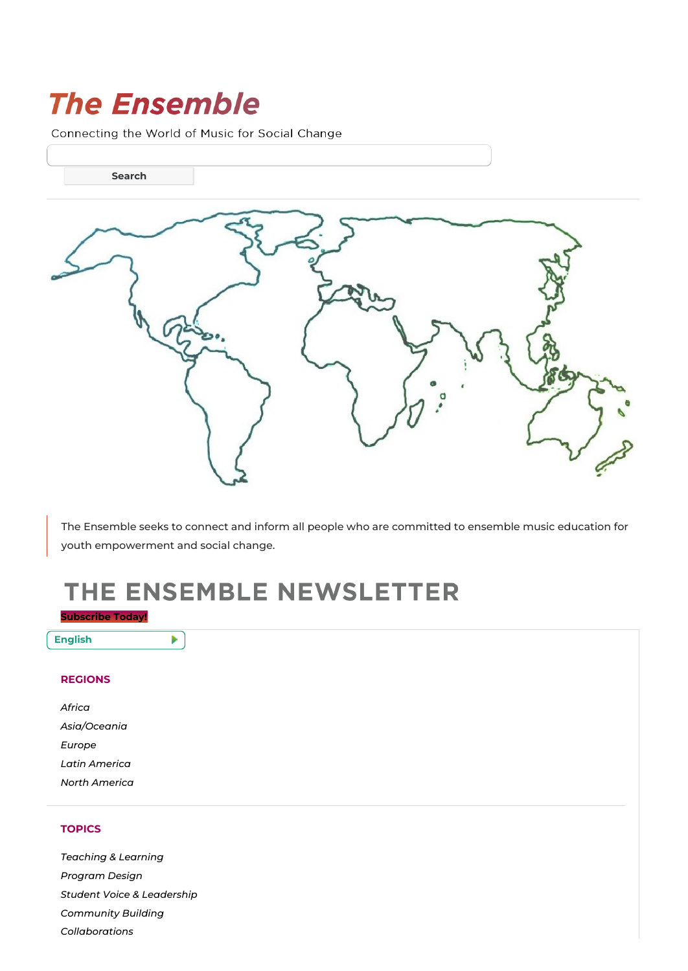# **The Ensemble**

Connecting the World of Music for Social Change

**Search**

The Ensemble seeks to connect and inform all people who are committed to ensemble music education for youth empowerment and social change.

# THE ENSEMBLE NEWSLETTER

## **[Subscribe](https://ensemblenews.org/subscribe) Today!**

Þ.

**English**

### **REGIONS**

| Africa        |
|---------------|
| Asia/Oceania  |
| Europe        |
| Latin America |
| North America |

## **TOPICS**

*[Teaching](https://ensemblenews.org/category/teaching-learning/) & Learning [Program](https://ensemblenews.org/category/program-design/) Design Student Voice & [Leadership](https://ensemblenews.org/category/student-voice-leadership/) [Community](https://ensemblenews.org/category/community-building/) Building [Collaborations](https://ensemblenews.org/category/collaborations/)*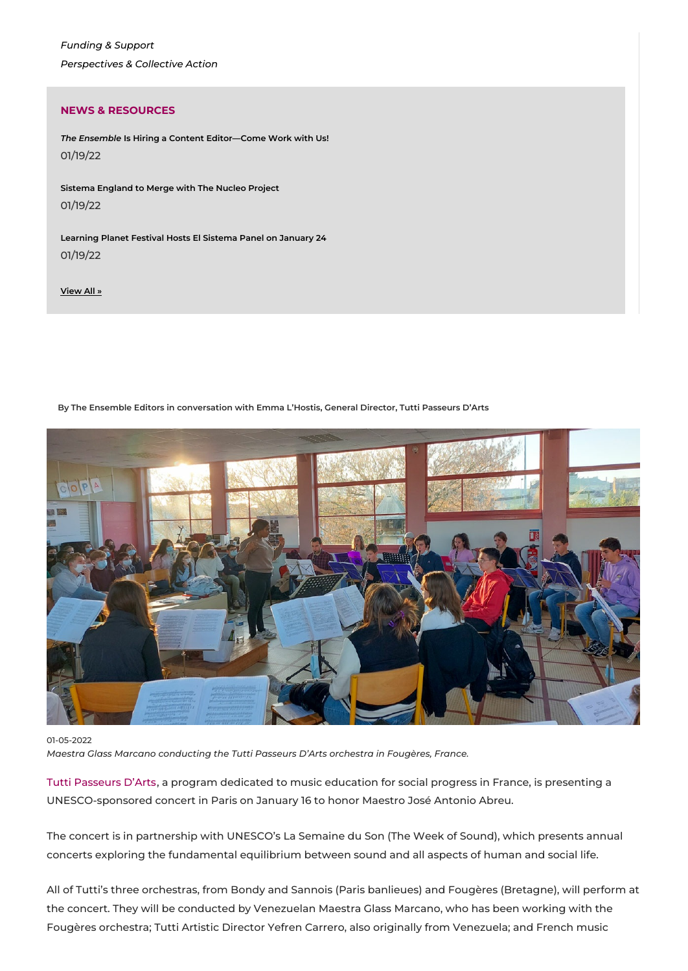*[Funding](https://ensemblenews.org/category/funding-support/) & Support [Perspectives](https://ensemblenews.org/category/perspectives-collective-action/) & Collective Action*

### **NEWS & RESOURCES**

*The Ensemble* **Is Hiring a Content [Editor—Come](https://ensemblenews.org/2022/01/19/the-ensemble-is-hiring-a-content-editor-come-work-with-us-2/) Work with Us!** 01/19/22

**Sistema [England](https://ensemblenews.org/2022/01/19/sistema-england-to-merge-with-the-nucleo-project/) to Merge with The Nucleo Project** 01/19/22

**[Learning](https://ensemblenews.org/2022/01/19/learning-planet-festival-hosts-el-sistema-panel-on-january-24/) Planet Festival Hosts El Sistema Panel on January 24** 01/19/22

**[View](https://ensemblenews.org/category/news-and-resources) All »**

**By The Ensemble Editors in conversation with Emma L'Hostis, General Director, Tutti Passeurs D'Arts**



#### 01-05-2022

*Maestra Glass Marcano conducting the Tutti Passeurs D'Arts orchestra in Fougères, France.*

Tutti [Passeurs](https://www.tuttipasseursdarts.org/) D'Arts, a program dedicated to music education for social progress in France, is presenting a UNESCO-sponsored concert in Paris on January 16 to honor Maestro José Antonio Abreu.

The concert is in partnership with UNESCO's La Semaine du Son (The Week of Sound), which presents annual concerts exploring the fundamental equilibrium between sound and all aspects of human and social life.

All of Tutti's three orchestras, from Bondy and Sannois (Paris banlieues) and Fougères (Bretagne), will perform at the concert. They will be conducted by Venezuelan Maestra Glass Marcano, who has been working with the Fougères orchestra; Tutti Artistic Director Yefren Carrero, also originally from Venezuela; and French music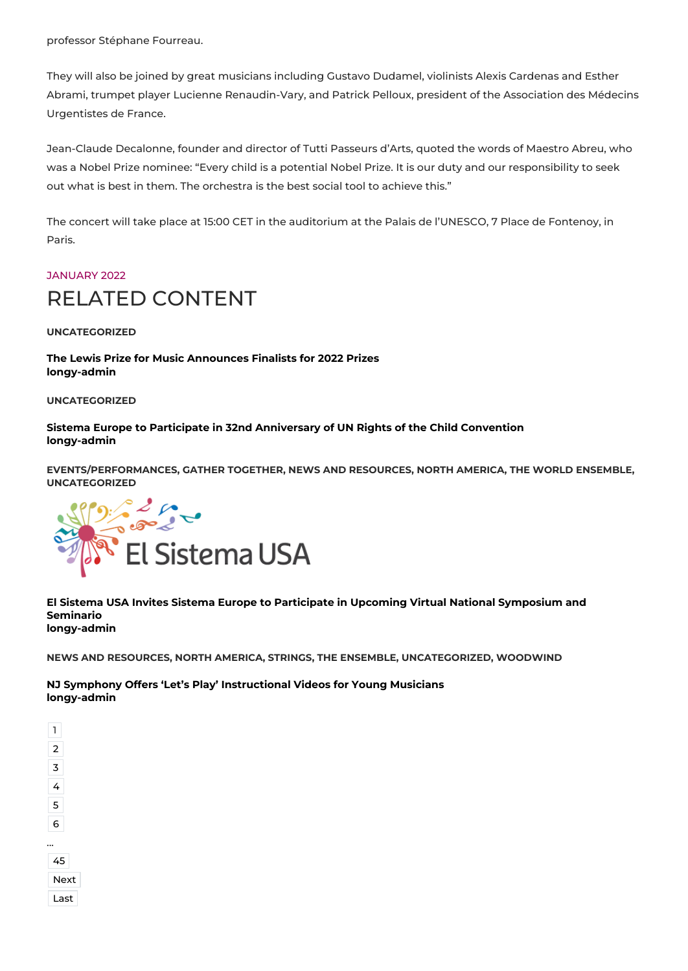professor Stéphane Fourreau.

They will also be joined by great musicians including Gustavo Dudamel, violinists Alexis Cardenas and Esther Abrami, trumpet player Lucienne Renaudin-Vary, and Patrick Pelloux, president of the Association des Médecins Urgentistes de France.

Jean-Claude Decalonne, founder and director of Tutti Passeurs d'Arts, quoted the words of Maestro Abreu, who was a Nobel Prize nominee: "Every child is a potential Nobel Prize. It is our duty and our responsibility to seek out what is best in them. The orchestra is the best social tool to achieve this."

The concert will take place at 15:00 CET in the auditorium at the Palais de l'UNESCO, 7 Place de Fontenoy, in Paris.

# [JANUARY](https://ensemblenews.org/tag/january-2022/) 2022 RELATED CONTENT

**UNCATEGORIZED**

**The Lewis Prize for Music [Announces](https://ensemblenews.org/2021/11/17/the-lewis-prize-for-music-announces-finalists-for-2022-prizes/) Finalists for 2022 Prizes [longy-admin](https://ensemblenews.org/author/longy-admin/)**

**UNCATEGORIZED**

**Sistema Europe to Participate in 32nd [Anniversary](https://ensemblenews.org/2021/11/17/sistema-europe-to-participate-in-32nd-anniversary-of-un-rights-of-the-child-convention/) of UN Rights of the Child Convention [longy-admin](https://ensemblenews.org/author/longy-admin/)**

**EVENTS/PERFORMANCES, GATHER TOGETHER, NEWS AND RESOURCES, NORTH AMERICA, THE WORLD ENSEMBLE, UNCATEGORIZED**



### **El Sistema USA Invites Sistema Europe to Participate in Upcoming Virtual National [Symposium](https://ensemblenews.org/2021/01/06/el-sistema-usa-invites-sistema-europe-to-take-part-in-its-upcoming-virtual-national-symposium-and-seminario/) and Seminario [longy-admin](https://ensemblenews.org/author/longy-admin/)**

**NEWS AND RESOURCES, NORTH AMERICA, STRINGS, THE ENSEMBLE, UNCATEGORIZED, WOODWIND**

**NJ Symphony Offers 'Let's Play' [Instructional](https://ensemblenews.org/2021/01/05/new-jersey-symphony-creates-instructional-video-resources-for-young-musicians/) Videos for Young Musicians [longy-admin](https://ensemblenews.org/author/longy-admin/)**

| ext<br>Ŵ |
|----------|
| ast      |